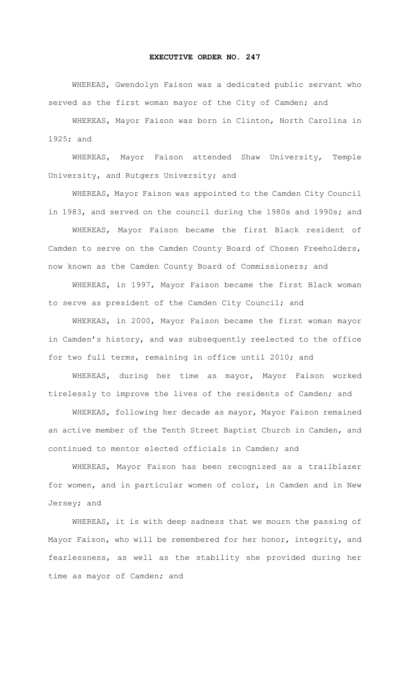## **EXECUTIVE ORDER NO. 247**

WHEREAS, Gwendolyn Faison was a dedicated public servant who served as the first woman mayor of the City of Camden; and

WHEREAS, Mayor Faison was born in Clinton, North Carolina in 1925; and

WHEREAS, Mayor Faison attended Shaw University, Temple University, and Rutgers University; and

WHEREAS, Mayor Faison was appointed to the Camden City Council in 1983, and served on the council during the 1980s and 1990s; and

WHEREAS, Mayor Faison became the first Black resident of Camden to serve on the Camden County Board of Chosen Freeholders, now known as the Camden County Board of Commissioners; and

WHEREAS, in 1997, Mayor Faison became the first Black woman to serve as president of the Camden City Council; and

WHEREAS, in 2000, Mayor Faison became the first woman mayor in Camden's history, and was subsequently reelected to the office for two full terms, remaining in office until 2010; and

WHEREAS, during her time as mayor, Mayor Faison worked tirelessly to improve the lives of the residents of Camden; and

WHEREAS, following her decade as mayor, Mayor Faison remained an active member of the Tenth Street Baptist Church in Camden, and continued to mentor elected officials in Camden; and

WHEREAS, Mayor Faison has been recognized as a trailblazer for women, and in particular women of color, in Camden and in New Jersey; and

WHEREAS, it is with deep sadness that we mourn the passing of Mayor Faison, who will be remembered for her honor, integrity, and fearlessness, as well as the stability she provided during her time as mayor of Camden; and